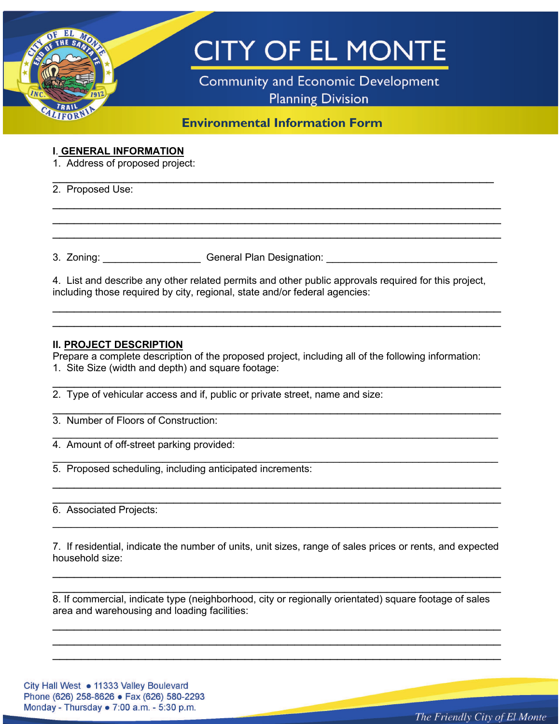

#### **I**. **GENERAL INFORMATION**

1. Address of proposed project:

2. Proposed Use:

3. Zoning: etc. Ceneral Plan Designation:

4. List and describe any other related permits and other public approvals required for this project, including those required by city, regional, state and/or federal agencies:

\_\_\_\_\_\_\_\_\_\_\_\_\_\_\_\_\_\_\_\_\_\_\_\_\_\_\_\_\_\_\_\_\_\_\_\_\_\_\_\_\_\_\_\_\_\_\_\_\_\_\_\_\_\_\_\_\_\_\_\_\_\_\_ \_\_\_\_\_\_\_\_\_\_\_\_\_\_\_\_\_\_\_\_\_\_\_\_\_\_\_\_\_\_\_\_\_\_\_\_\_\_\_\_\_\_\_\_\_\_\_\_\_\_\_\_\_\_\_\_\_\_\_\_\_\_\_

 $\overline{\phantom{a}}$  , and the contribution of the contribution of the contribution of the contribution of the contribution of the contribution of the contribution of the contribution of the contribution of the contribution of the

\_\_\_\_\_\_\_\_\_\_\_\_\_\_\_\_\_\_\_\_\_\_\_\_\_\_\_\_\_\_\_\_\_\_\_\_\_\_\_\_\_\_\_\_\_\_\_\_\_\_\_\_\_\_\_\_\_\_\_\_\_\_\_ \_\_\_\_\_\_\_\_\_\_\_\_\_\_\_\_\_\_\_\_\_\_\_\_\_\_\_\_\_\_\_\_\_\_\_\_\_\_\_\_\_\_\_\_\_\_\_\_\_\_\_\_\_\_\_\_\_\_\_\_\_\_\_ \_\_\_\_\_\_\_\_\_\_\_\_\_\_\_\_\_\_\_\_\_\_\_\_\_\_\_\_\_\_\_\_\_\_\_\_\_\_\_\_\_\_\_\_\_\_\_\_\_\_\_\_\_\_\_\_\_\_\_\_\_\_\_

#### **II. PROJECT DESCRIPTION**

Prepare a complete description of the proposed project, including all of the following information: 1. Site Size (width and depth) and square footage:

\_\_\_\_\_\_\_\_\_\_\_\_\_\_\_\_\_\_\_\_\_\_\_\_\_\_\_\_\_\_\_\_\_\_\_\_\_\_\_\_\_\_\_\_\_\_\_\_\_\_\_\_\_\_\_\_\_\_\_\_\_\_\_

\_\_\_\_\_\_\_\_\_\_\_\_\_\_\_\_\_\_\_\_\_\_\_\_\_\_\_\_\_\_\_\_\_\_\_\_\_\_\_\_\_\_\_\_\_\_\_\_\_\_\_\_\_\_\_\_\_\_\_\_\_\_\_

\_\_\_\_\_\_\_\_\_\_\_\_\_\_\_\_\_\_\_\_\_\_\_\_\_\_\_\_\_\_\_\_\_\_\_\_\_\_\_\_\_\_\_\_\_\_\_\_\_\_\_\_\_\_\_\_\_\_\_\_\_\_\_\_\_\_\_\_\_\_\_\_\_

\_\_\_\_\_\_\_\_\_\_\_\_\_\_\_\_\_\_\_\_\_\_\_\_\_\_\_\_\_\_\_\_\_\_\_\_\_\_\_\_\_\_\_\_\_\_\_\_\_\_\_\_\_\_\_\_\_\_\_\_\_\_\_\_\_\_\_\_\_\_\_\_\_

\_\_\_\_\_\_\_\_\_\_\_\_\_\_\_\_\_\_\_\_\_\_\_\_\_\_\_\_\_\_\_\_\_\_\_\_\_\_\_\_\_\_\_\_\_\_\_\_\_\_\_\_\_\_\_\_\_\_\_\_\_\_\_ \_\_\_\_\_\_\_\_\_\_\_\_\_\_\_\_\_\_\_\_\_\_\_\_\_\_\_\_\_\_\_\_\_\_\_\_\_\_\_\_\_\_\_\_\_\_\_\_\_\_\_\_\_\_\_\_\_\_\_\_\_\_\_

2. Type of vehicular access and if, public or private street, name and size:

3. Number of Floors of Construction:

4. Amount of off-street parking provided:

5. Proposed scheduling, including anticipated increments:

6. Associated Projects:

7. If residential, indicate the number of units, unit sizes, range of sales prices or rents, and expected household size:

\_\_\_\_\_\_\_\_\_\_\_\_\_\_\_\_\_\_\_\_\_\_\_\_\_\_\_\_\_\_\_\_\_\_\_\_\_\_\_\_\_\_\_\_\_\_\_\_\_\_\_\_\_\_\_\_\_\_\_\_\_\_\_ \_\_\_\_\_\_\_\_\_\_\_\_\_\_\_\_\_\_\_\_\_\_\_\_\_\_\_\_\_\_\_\_\_\_\_\_\_\_\_\_\_\_\_\_\_\_\_\_\_\_\_\_\_\_\_\_\_\_\_\_\_\_\_

\_\_\_\_\_\_\_\_\_\_\_\_\_\_\_\_\_\_\_\_\_\_\_\_\_\_\_\_\_\_\_\_\_\_\_\_\_\_\_\_\_\_\_\_\_\_\_\_\_\_\_\_\_\_\_\_\_\_\_\_\_\_\_\_\_\_\_\_\_\_\_\_\_

8. If commercial, indicate type (neighborhood, city or regionally orientated) square footage of sales area and warehousing and loading facilities:

\_\_\_\_\_\_\_\_\_\_\_\_\_\_\_\_\_\_\_\_\_\_\_\_\_\_\_\_\_\_\_\_\_\_\_\_\_\_\_\_\_\_\_\_\_\_\_\_\_\_\_\_\_\_\_\_\_\_\_\_\_\_\_ \_\_\_\_\_\_\_\_\_\_\_\_\_\_\_\_\_\_\_\_\_\_\_\_\_\_\_\_\_\_\_\_\_\_\_\_\_\_\_\_\_\_\_\_\_\_\_\_\_\_\_\_\_\_\_\_\_\_\_\_\_\_\_ \_\_\_\_\_\_\_\_\_\_\_\_\_\_\_\_\_\_\_\_\_\_\_\_\_\_\_\_\_\_\_\_\_\_\_\_\_\_\_\_\_\_\_\_\_\_\_\_\_\_\_\_\_\_\_\_\_\_\_\_\_\_\_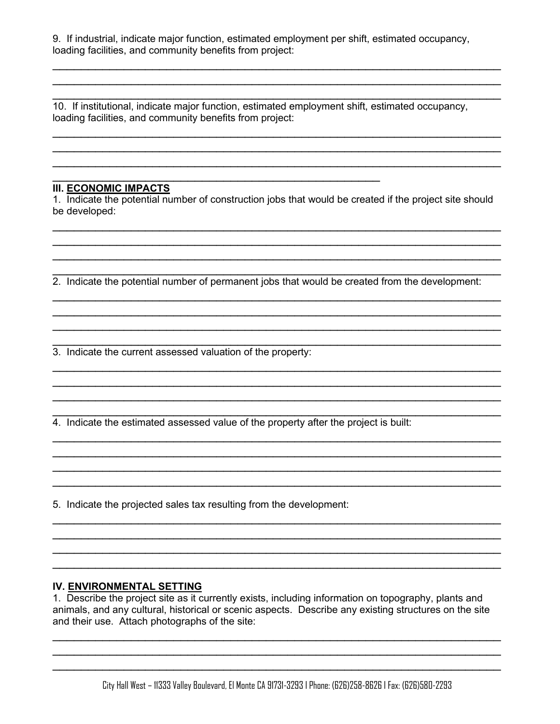9. If industrial, indicate major function, estimated employment per shift, estimated occupancy, loading facilities, and community benefits from project:

\_\_\_\_\_\_\_\_\_\_\_\_\_\_\_\_\_\_\_\_\_\_\_\_\_\_\_\_\_\_\_\_\_\_\_\_\_\_\_\_\_\_\_\_\_\_\_\_\_\_\_\_\_\_\_\_\_\_\_\_\_\_\_ \_\_\_\_\_\_\_\_\_\_\_\_\_\_\_\_\_\_\_\_\_\_\_\_\_\_\_\_\_\_\_\_\_\_\_\_\_\_\_\_\_\_\_\_\_\_\_\_\_\_\_\_\_\_\_\_\_\_\_\_\_\_\_ \_\_\_\_\_\_\_\_\_\_\_\_\_\_\_\_\_\_\_\_\_\_\_\_\_\_\_\_\_\_\_\_\_\_\_\_\_\_\_\_\_\_\_\_\_\_\_\_\_\_\_\_\_\_\_\_\_\_\_\_\_\_\_

\_\_\_\_\_\_\_\_\_\_\_\_\_\_\_\_\_\_\_\_\_\_\_\_\_\_\_\_\_\_\_\_\_\_\_\_\_\_\_\_\_\_\_\_\_\_\_\_\_\_\_\_\_\_\_\_\_\_\_\_\_\_\_ \_\_\_\_\_\_\_\_\_\_\_\_\_\_\_\_\_\_\_\_\_\_\_\_\_\_\_\_\_\_\_\_\_\_\_\_\_\_\_\_\_\_\_\_\_\_\_\_\_\_\_\_\_\_\_\_\_\_\_\_\_\_\_ \_\_\_\_\_\_\_\_\_\_\_\_\_\_\_\_\_\_\_\_\_\_\_\_\_\_\_\_\_\_\_\_\_\_\_\_\_\_\_\_\_\_\_\_\_\_\_\_\_\_\_\_\_\_\_\_\_\_\_\_\_\_\_

10. If institutional, indicate major function, estimated employment shift, estimated occupancy, loading facilities, and community benefits from project:

\_\_\_\_\_\_\_\_\_\_\_\_\_\_\_\_\_\_\_\_\_\_\_\_\_\_\_\_\_\_\_\_\_\_\_\_\_\_\_\_\_\_\_\_\_\_

# **III. ECONOMIC IMPACTS**

1. Indicate the potential number of construction jobs that would be created if the project site should be developed:

\_\_\_\_\_\_\_\_\_\_\_\_\_\_\_\_\_\_\_\_\_\_\_\_\_\_\_\_\_\_\_\_\_\_\_\_\_\_\_\_\_\_\_\_\_\_\_\_\_\_\_\_\_\_\_\_\_\_\_\_\_\_\_ \_\_\_\_\_\_\_\_\_\_\_\_\_\_\_\_\_\_\_\_\_\_\_\_\_\_\_\_\_\_\_\_\_\_\_\_\_\_\_\_\_\_\_\_\_\_\_\_\_\_\_\_\_\_\_\_\_\_\_\_\_\_\_ \_\_\_\_\_\_\_\_\_\_\_\_\_\_\_\_\_\_\_\_\_\_\_\_\_\_\_\_\_\_\_\_\_\_\_\_\_\_\_\_\_\_\_\_\_\_\_\_\_\_\_\_\_\_\_\_\_\_\_\_\_\_\_

\_\_\_\_\_\_\_\_\_\_\_\_\_\_\_\_\_\_\_\_\_\_\_\_\_\_\_\_\_\_\_\_\_\_\_\_\_\_\_\_\_\_\_\_\_\_\_\_\_\_\_\_\_\_\_\_\_\_\_\_\_\_\_ 2. Indicate the potential number of permanent jobs that would be created from the development:

\_\_\_\_\_\_\_\_\_\_\_\_\_\_\_\_\_\_\_\_\_\_\_\_\_\_\_\_\_\_\_\_\_\_\_\_\_\_\_\_\_\_\_\_\_\_\_\_\_\_\_\_\_\_\_\_\_\_\_\_\_\_\_ \_\_\_\_\_\_\_\_\_\_\_\_\_\_\_\_\_\_\_\_\_\_\_\_\_\_\_\_\_\_\_\_\_\_\_\_\_\_\_\_\_\_\_\_\_\_\_\_\_\_\_\_\_\_\_\_\_\_\_\_\_\_\_ \_\_\_\_\_\_\_\_\_\_\_\_\_\_\_\_\_\_\_\_\_\_\_\_\_\_\_\_\_\_\_\_\_\_\_\_\_\_\_\_\_\_\_\_\_\_\_\_\_\_\_\_\_\_\_\_\_\_\_\_\_\_\_ \_\_\_\_\_\_\_\_\_\_\_\_\_\_\_\_\_\_\_\_\_\_\_\_\_\_\_\_\_\_\_\_\_\_\_\_\_\_\_\_\_\_\_\_\_\_\_\_\_\_\_\_\_\_\_\_\_\_\_\_\_\_\_

\_\_\_\_\_\_\_\_\_\_\_\_\_\_\_\_\_\_\_\_\_\_\_\_\_\_\_\_\_\_\_\_\_\_\_\_\_\_\_\_\_\_\_\_\_\_\_\_\_\_\_\_\_\_\_\_\_\_\_\_\_\_\_ \_\_\_\_\_\_\_\_\_\_\_\_\_\_\_\_\_\_\_\_\_\_\_\_\_\_\_\_\_\_\_\_\_\_\_\_\_\_\_\_\_\_\_\_\_\_\_\_\_\_\_\_\_\_\_\_\_\_\_\_\_\_\_ \_\_\_\_\_\_\_\_\_\_\_\_\_\_\_\_\_\_\_\_\_\_\_\_\_\_\_\_\_\_\_\_\_\_\_\_\_\_\_\_\_\_\_\_\_\_\_\_\_\_\_\_\_\_\_\_\_\_\_\_\_\_\_

\_\_\_\_\_\_\_\_\_\_\_\_\_\_\_\_\_\_\_\_\_\_\_\_\_\_\_\_\_\_\_\_\_\_\_\_\_\_\_\_\_\_\_\_\_\_\_\_\_\_\_\_\_\_\_\_\_\_\_\_\_\_\_ \_\_\_\_\_\_\_\_\_\_\_\_\_\_\_\_\_\_\_\_\_\_\_\_\_\_\_\_\_\_\_\_\_\_\_\_\_\_\_\_\_\_\_\_\_\_\_\_\_\_\_\_\_\_\_\_\_\_\_\_\_\_\_

\_\_\_\_\_\_\_\_\_\_\_\_\_\_\_\_\_\_\_\_\_\_\_\_\_\_\_\_\_\_\_\_\_\_\_\_\_\_\_\_\_\_\_\_\_\_\_\_\_\_\_\_\_\_\_\_\_\_\_\_\_\_\_

\_\_\_\_\_\_\_\_\_\_\_\_\_\_\_\_\_\_\_\_\_\_\_\_\_\_\_\_\_\_\_\_\_\_\_\_\_\_\_\_\_\_\_\_\_\_\_\_\_\_\_\_\_\_\_\_\_\_\_\_\_\_\_ \_\_\_\_\_\_\_\_\_\_\_\_\_\_\_\_\_\_\_\_\_\_\_\_\_\_\_\_\_\_\_\_\_\_\_\_\_\_\_\_\_\_\_\_\_\_\_\_\_\_\_\_\_\_\_\_\_\_\_\_\_\_\_ \_\_\_\_\_\_\_\_\_\_\_\_\_\_\_\_\_\_\_\_\_\_\_\_\_\_\_\_\_\_\_\_\_\_\_\_\_\_\_\_\_\_\_\_\_\_\_\_\_\_\_\_\_\_\_\_\_\_\_\_\_\_\_ \_\_\_\_\_\_\_\_\_\_\_\_\_\_\_\_\_\_\_\_\_\_\_\_\_\_\_\_\_\_\_\_\_\_\_\_\_\_\_\_\_\_\_\_\_\_\_\_\_\_\_\_\_\_\_\_\_\_\_\_\_\_\_

\_\_\_\_\_\_\_\_\_\_\_\_\_\_\_\_\_\_\_\_\_\_\_\_\_\_\_\_\_\_\_\_\_\_\_\_\_\_\_\_\_\_\_\_\_\_\_\_\_\_\_\_\_\_\_\_\_\_\_\_\_\_\_

3. Indicate the current assessed valuation of the property:

\_\_\_\_\_\_\_\_\_\_\_\_\_\_\_\_\_\_\_\_\_\_\_\_\_\_\_\_\_\_\_\_\_\_\_\_\_\_\_\_\_\_\_\_\_\_\_\_\_\_\_\_\_\_\_\_\_\_\_\_\_\_\_ 4. Indicate the estimated assessed value of the property after the project is built:

5. Indicate the projected sales tax resulting from the development:

### **IV. ENVIRONMENTAL SETTING**

1. Describe the project site as it currently exists, including information on topography, plants and animals, and any cultural, historical or scenic aspects. Describe any existing structures on the site and their use. Attach photographs of the site:

\_\_\_\_\_\_\_\_\_\_\_\_\_\_\_\_\_\_\_\_\_\_\_\_\_\_\_\_\_\_\_\_\_\_\_\_\_\_\_\_\_\_\_\_\_\_\_\_\_\_\_\_\_\_\_\_\_\_\_\_\_\_\_ \_\_\_\_\_\_\_\_\_\_\_\_\_\_\_\_\_\_\_\_\_\_\_\_\_\_\_\_\_\_\_\_\_\_\_\_\_\_\_\_\_\_\_\_\_\_\_\_\_\_\_\_\_\_\_\_\_\_\_\_\_\_\_ \_\_\_\_\_\_\_\_\_\_\_\_\_\_\_\_\_\_\_\_\_\_\_\_\_\_\_\_\_\_\_\_\_\_\_\_\_\_\_\_\_\_\_\_\_\_\_\_\_\_\_\_\_\_\_\_\_\_\_\_\_\_\_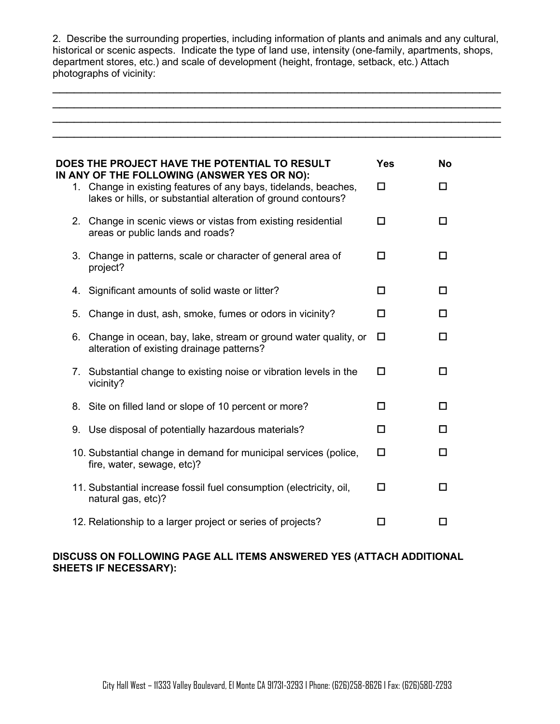2. Describe the surrounding properties, including information of plants and animals and any cultural, historical or scenic aspects. Indicate the type of land use, intensity (one-family, apartments, shops, department stores, etc.) and scale of development (height, frontage, setback, etc.) Attach photographs of vicinity:

\_\_\_\_\_\_\_\_\_\_\_\_\_\_\_\_\_\_\_\_\_\_\_\_\_\_\_\_\_\_\_\_\_\_\_\_\_\_\_\_\_\_\_\_\_\_\_\_\_\_\_\_\_\_\_\_\_\_\_\_\_\_\_ \_\_\_\_\_\_\_\_\_\_\_\_\_\_\_\_\_\_\_\_\_\_\_\_\_\_\_\_\_\_\_\_\_\_\_\_\_\_\_\_\_\_\_\_\_\_\_\_\_\_\_\_\_\_\_\_\_\_\_\_\_\_\_ \_\_\_\_\_\_\_\_\_\_\_\_\_\_\_\_\_\_\_\_\_\_\_\_\_\_\_\_\_\_\_\_\_\_\_\_\_\_\_\_\_\_\_\_\_\_\_\_\_\_\_\_\_\_\_\_\_\_\_\_\_\_\_

|    | DOES THE PROJECT HAVE THE POTENTIAL TO RESULT<br>IN ANY OF THE FOLLOWING (ANSWER YES OR NO):                                     | <b>Yes</b> | <b>No</b> |
|----|----------------------------------------------------------------------------------------------------------------------------------|------------|-----------|
|    | 1. Change in existing features of any bays, tidelands, beaches,<br>lakes or hills, or substantial alteration of ground contours? | $\Box$     | 0         |
|    | 2. Change in scenic views or vistas from existing residential<br>areas or public lands and roads?                                | □          | $\Box$    |
|    | 3. Change in patterns, scale or character of general area of<br>project?                                                         | □          | $\Box$    |
| 4. | Significant amounts of solid waste or litter?                                                                                    | $\Box$     | П         |
| 5. | Change in dust, ash, smoke, fumes or odors in vicinity?                                                                          | $\Box$     | $\Box$    |
|    | 6. Change in ocean, bay, lake, stream or ground water quality, or<br>alteration of existing drainage patterns?                   | □          | $\Box$    |
|    | 7. Substantial change to existing noise or vibration levels in the<br>vicinity?                                                  | □          | $\Box$    |
|    | 8. Site on filled land or slope of 10 percent or more?                                                                           | п          | П.        |
|    | 9. Use disposal of potentially hazardous materials?                                                                              | П          | П         |
|    | 10. Substantial change in demand for municipal services (police,<br>fire, water, sewage, etc)?                                   | □          | 0         |
|    | 11. Substantial increase fossil fuel consumption (electricity, oil,<br>natural gas, etc)?                                        | $\Box$     | П         |
|    | 12. Relationship to a larger project or series of projects?                                                                      |            | П         |

## **DISCUSS ON FOLLOWING PAGE ALL ITEMS ANSWERED YES (ATTACH ADDITIONAL SHEETS IF NECESSARY):**